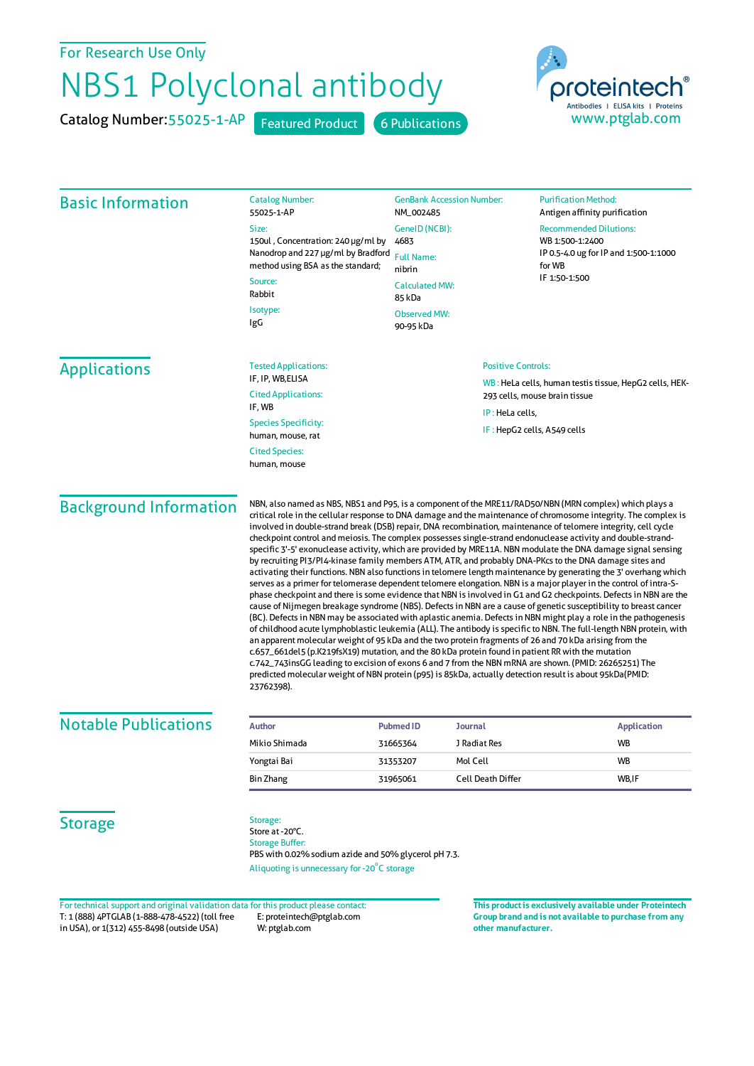## For Research Use Only

## NBS1 Polyclonal antibody

Catalog Number: 55025-1-AP Featured Product 6 Publications



| <b>Basic Information</b>                                                                                                                                                           | <b>Catalog Number:</b><br>55025-1-AP                                                                                                                                                                                                                                                                                                                                                                                                                                                                                                                                                                                                                                                                                                                                                                                                                                                                                                                                                                                                                                                                                                                                                                                                                                                                                                                                                                                                                                                                                                                                                                                                                                                                                                                             | <b>GenBank Accession Number:</b><br>NM_002485<br>GeneID (NCBI): |                                                                                                                                         | <b>Purification Method:</b><br>Antigen affinity purification |  |
|------------------------------------------------------------------------------------------------------------------------------------------------------------------------------------|------------------------------------------------------------------------------------------------------------------------------------------------------------------------------------------------------------------------------------------------------------------------------------------------------------------------------------------------------------------------------------------------------------------------------------------------------------------------------------------------------------------------------------------------------------------------------------------------------------------------------------------------------------------------------------------------------------------------------------------------------------------------------------------------------------------------------------------------------------------------------------------------------------------------------------------------------------------------------------------------------------------------------------------------------------------------------------------------------------------------------------------------------------------------------------------------------------------------------------------------------------------------------------------------------------------------------------------------------------------------------------------------------------------------------------------------------------------------------------------------------------------------------------------------------------------------------------------------------------------------------------------------------------------------------------------------------------------------------------------------------------------|-----------------------------------------------------------------|-----------------------------------------------------------------------------------------------------------------------------------------|--------------------------------------------------------------|--|
|                                                                                                                                                                                    | Size:                                                                                                                                                                                                                                                                                                                                                                                                                                                                                                                                                                                                                                                                                                                                                                                                                                                                                                                                                                                                                                                                                                                                                                                                                                                                                                                                                                                                                                                                                                                                                                                                                                                                                                                                                            |                                                                 |                                                                                                                                         | <b>Recommended Dilutions:</b>                                |  |
|                                                                                                                                                                                    | 150ul, Concentration: 240 µg/ml by<br>Nanodrop and 227 µg/ml by Bradford                                                                                                                                                                                                                                                                                                                                                                                                                                                                                                                                                                                                                                                                                                                                                                                                                                                                                                                                                                                                                                                                                                                                                                                                                                                                                                                                                                                                                                                                                                                                                                                                                                                                                         | 4683                                                            |                                                                                                                                         | WB 1:500-1:2400<br>IP 0.5-4.0 ug for IP and 1:500-1:1000     |  |
|                                                                                                                                                                                    | method using BSA as the standard;                                                                                                                                                                                                                                                                                                                                                                                                                                                                                                                                                                                                                                                                                                                                                                                                                                                                                                                                                                                                                                                                                                                                                                                                                                                                                                                                                                                                                                                                                                                                                                                                                                                                                                                                | <b>Full Name:</b><br>nibrin                                     |                                                                                                                                         | for WB<br>IF 1:50-1:500                                      |  |
|                                                                                                                                                                                    | Source:<br>Rabbit                                                                                                                                                                                                                                                                                                                                                                                                                                                                                                                                                                                                                                                                                                                                                                                                                                                                                                                                                                                                                                                                                                                                                                                                                                                                                                                                                                                                                                                                                                                                                                                                                                                                                                                                                | <b>Calculated MW:</b><br>85 kDa                                 |                                                                                                                                         |                                                              |  |
|                                                                                                                                                                                    | Isotype:<br><b>Observed MW:</b>                                                                                                                                                                                                                                                                                                                                                                                                                                                                                                                                                                                                                                                                                                                                                                                                                                                                                                                                                                                                                                                                                                                                                                                                                                                                                                                                                                                                                                                                                                                                                                                                                                                                                                                                  |                                                                 |                                                                                                                                         |                                                              |  |
|                                                                                                                                                                                    | IgG                                                                                                                                                                                                                                                                                                                                                                                                                                                                                                                                                                                                                                                                                                                                                                                                                                                                                                                                                                                                                                                                                                                                                                                                                                                                                                                                                                                                                                                                                                                                                                                                                                                                                                                                                              | 90-95 kDa                                                       |                                                                                                                                         |                                                              |  |
| <b>Applications</b>                                                                                                                                                                | <b>Positive Controls:</b><br><b>Tested Applications:</b>                                                                                                                                                                                                                                                                                                                                                                                                                                                                                                                                                                                                                                                                                                                                                                                                                                                                                                                                                                                                                                                                                                                                                                                                                                                                                                                                                                                                                                                                                                                                                                                                                                                                                                         |                                                                 |                                                                                                                                         |                                                              |  |
|                                                                                                                                                                                    | IF, IP, WB,ELISA                                                                                                                                                                                                                                                                                                                                                                                                                                                                                                                                                                                                                                                                                                                                                                                                                                                                                                                                                                                                                                                                                                                                                                                                                                                                                                                                                                                                                                                                                                                                                                                                                                                                                                                                                 |                                                                 | WB: HeLa cells, human testis tissue, HepG2 cells, HEK-<br>293 cells, mouse brain tissue                                                 |                                                              |  |
|                                                                                                                                                                                    | <b>Cited Applications:</b><br>IF, WB                                                                                                                                                                                                                                                                                                                                                                                                                                                                                                                                                                                                                                                                                                                                                                                                                                                                                                                                                                                                                                                                                                                                                                                                                                                                                                                                                                                                                                                                                                                                                                                                                                                                                                                             |                                                                 |                                                                                                                                         |                                                              |  |
|                                                                                                                                                                                    | <b>Species Specificity:</b><br>human, mouse, rat                                                                                                                                                                                                                                                                                                                                                                                                                                                                                                                                                                                                                                                                                                                                                                                                                                                                                                                                                                                                                                                                                                                                                                                                                                                                                                                                                                                                                                                                                                                                                                                                                                                                                                                 |                                                                 | IP: HeLa cells,                                                                                                                         | IF: HepG2 cells, A549 cells                                  |  |
|                                                                                                                                                                                    | <b>Cited Species:</b><br>human, mouse                                                                                                                                                                                                                                                                                                                                                                                                                                                                                                                                                                                                                                                                                                                                                                                                                                                                                                                                                                                                                                                                                                                                                                                                                                                                                                                                                                                                                                                                                                                                                                                                                                                                                                                            |                                                                 |                                                                                                                                         |                                                              |  |
|                                                                                                                                                                                    | critical role in the cellular response to DNA damage and the maintenance of chromosome integrity. The complex is<br>involved in double-strand break (DSB) repair, DNA recombination, maintenance of telomere integrity, cell cycle<br>checkpoint control and meiosis. The complex possesses single-strand endonuclease activity and double-strand-<br>specific 3'-5' exonuclease activity, which are provided by MRE11A. NBN modulate the DNA damage signal sensing<br>by recruiting PI3/PI4-kinase family members ATM, ATR, and probably DNA-PKcs to the DNA damage sites and<br>activating their functions. NBN also functions in telomere length maintenance by generating the 3' overhang which<br>serves as a primer for telomerase dependent telomere elongation. NBN is a major player in the control of intra-S-<br>phase checkpoint and there is some evidence that NBN is involved in G1 and G2 checkpoints. Defects in NBN are the<br>cause of Nijmegen breakage syndrome (NBS). Defects in NBN are a cause of genetic susceptibility to breast cancer<br>(BC). Defects in NBN may be associated with aplastic anemia. Defects in NBN might play a role in the pathogenesis<br>of childhood acute lymphoblastic leukemia (ALL). The antibody is specific to NBN. The full-length NBN protein, with<br>an apparent molecular weight of 95 kDa and the two protein fragments of 26 and 70 kDa arising from the<br>c.657_661del5 (p.K219fsX19) mutation, and the 80 kDa protein found in patient RR with the mutation<br>c.742_743insGG leading to excision of exons 6 and 7 from the NBN mRNA are shown. (PMID: 26265251) The<br>predicted molecular weight of NBN protein (p95) is 85kDa, actually detection result is about 95kDa(PMID:<br>23762398). |                                                                 |                                                                                                                                         |                                                              |  |
| <b>Notable Publications</b>                                                                                                                                                        | <b>Author</b>                                                                                                                                                                                                                                                                                                                                                                                                                                                                                                                                                                                                                                                                                                                                                                                                                                                                                                                                                                                                                                                                                                                                                                                                                                                                                                                                                                                                                                                                                                                                                                                                                                                                                                                                                    | <b>Pubmed ID</b><br>Journal                                     |                                                                                                                                         | <b>Application</b>                                           |  |
|                                                                                                                                                                                    | Mikio Shimada                                                                                                                                                                                                                                                                                                                                                                                                                                                                                                                                                                                                                                                                                                                                                                                                                                                                                                                                                                                                                                                                                                                                                                                                                                                                                                                                                                                                                                                                                                                                                                                                                                                                                                                                                    | 31665364<br>J Radiat Res                                        |                                                                                                                                         | <b>WB</b>                                                    |  |
|                                                                                                                                                                                    | Yongtai Bai                                                                                                                                                                                                                                                                                                                                                                                                                                                                                                                                                                                                                                                                                                                                                                                                                                                                                                                                                                                                                                                                                                                                                                                                                                                                                                                                                                                                                                                                                                                                                                                                                                                                                                                                                      | Mol Cell<br>31353207                                            |                                                                                                                                         | WB                                                           |  |
|                                                                                                                                                                                    | Bin Zhang                                                                                                                                                                                                                                                                                                                                                                                                                                                                                                                                                                                                                                                                                                                                                                                                                                                                                                                                                                                                                                                                                                                                                                                                                                                                                                                                                                                                                                                                                                                                                                                                                                                                                                                                                        | 31965061                                                        | Cell Death Differ                                                                                                                       | WB,IF                                                        |  |
| <b>Storage</b>                                                                                                                                                                     | Storage:<br>Store at -20°C.<br><b>Storage Buffer:</b><br>PBS with 0.02% sodium azide and 50% glycerol pH 7.3.<br>Aliquoting is unnecessary for -20°C storage                                                                                                                                                                                                                                                                                                                                                                                                                                                                                                                                                                                                                                                                                                                                                                                                                                                                                                                                                                                                                                                                                                                                                                                                                                                                                                                                                                                                                                                                                                                                                                                                     |                                                                 |                                                                                                                                         |                                                              |  |
| For technical support and original validation data for this product please contact:<br>T: 1 (888) 4PTGLAB (1-888-478-4522) (toll free<br>in USA), or 1(312) 455-8498 (outside USA) | E: proteintech@ptglab.com<br>W: ptglab.com                                                                                                                                                                                                                                                                                                                                                                                                                                                                                                                                                                                                                                                                                                                                                                                                                                                                                                                                                                                                                                                                                                                                                                                                                                                                                                                                                                                                                                                                                                                                                                                                                                                                                                                       |                                                                 | This product is exclusively available under Proteintech<br>Group brand and is not available to purchase from any<br>other manufacturer. |                                                              |  |